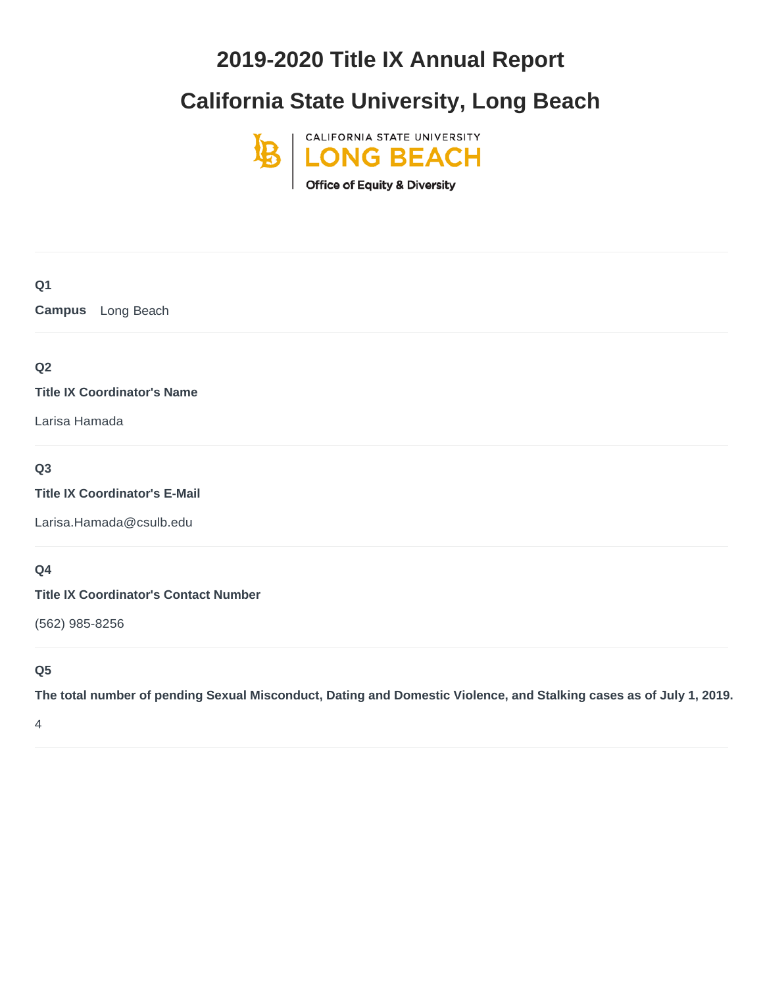# **2019-2020 Title IX Annual Report**

# **California State University, Long Beach**



# **Q1 Campus** Long Beach **Q2 Title IX Coordinator's Name** Larisa Hamada **Q3 Title IX Coordinator's E-Mail**

[Larisa.Hamada@csulb.edu](mailto:Larisa.Hamada@csulb.edu)

# **Q4**

**Title IX Coordinator's Contact Number**

(562) 985-8256

# **Q5**

**The total number of pending Sexual Misconduct, Dating and Domestic Violence, and Stalking cases as of July 1, 2019.**

4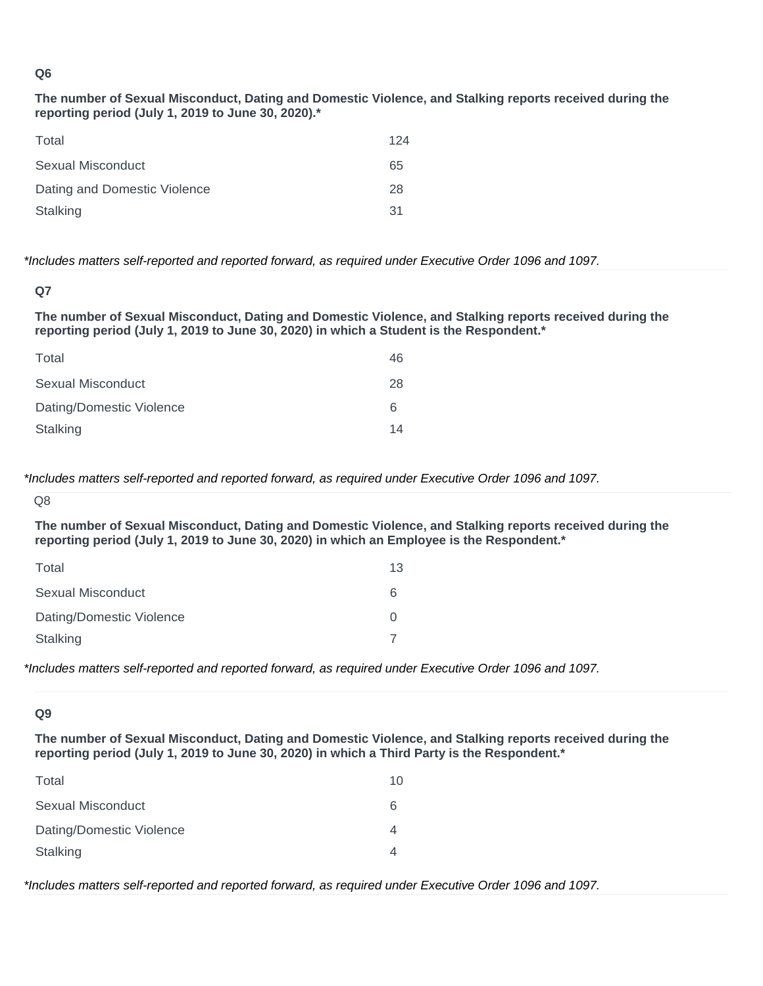**The number of Sexual Misconduct, Dating and Domestic Violence, and Stalking reports received during the reporting period (July 1, 2019 to June 30, 2020).\***

| Total                        | 124 |
|------------------------------|-----|
| Sexual Misconduct            | 65  |
| Dating and Domestic Violence | 28  |
| Stalking                     | 31  |

#### *\*Includes matters self-reported and reported forward, as required under Executive Order 1096 and 1097.*

**The number of Sexual Misconduct, Dating and Domestic Violence, and Stalking reports received during the reporting period (July 1, 2019 to June 30, 2020) in which a Student is the Respondent.\***

| Total                    | 46 |
|--------------------------|----|
| Sexual Misconduct        | 28 |
| Dating/Domestic Violence | 6  |
| Stalking                 | 14 |

*\*Includes matters self-reported and reported forward, as required under Executive Order 1096 and 1097.*

**The number of Sexual Misconduct, Dating and Domestic Violence, and Stalking reports received during the reporting period (July 1, 2019 to June 30, 2020) in which an Employee is the Respondent.\***

| Total                    | 13               |
|--------------------------|------------------|
| Sexual Misconduct        | 6                |
| Dating/Domestic Violence | $\left( \right)$ |
| Stalking                 |                  |

*\*Includes matters self-reported and reported forward, as required under Executive Order 1096 and 1097.*

#### **Q9**

**The number of Sexual Misconduct, Dating and Domestic Violence, and Stalking reports received during the reporting period (July 1, 2019 to June 30, 2020) in which a Third Party is the Respondent.\***

| Total                    | 10 |
|--------------------------|----|
| Sexual Misconduct        | 6  |
| Dating/Domestic Violence |    |
| Stalking                 |    |

*\*Includes matters self-reported and reported forward, as required under Executive Order 1096 and 1097.*

**Q7**

Q8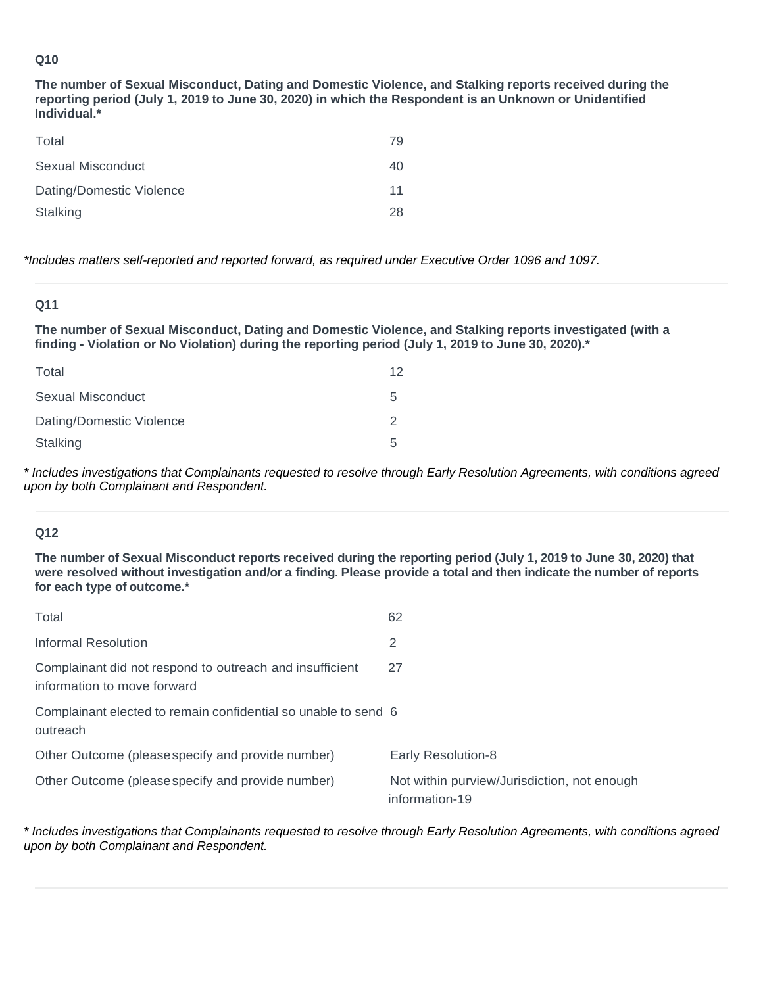**The number of Sexual Misconduct, Dating and Domestic Violence, and Stalking reports received during the reporting period (July 1, 2019 to June 30, 2020) in which the Respondent is an Unknown or Unidentified Individual.\***

| Total                    | 79 |
|--------------------------|----|
| Sexual Misconduct        | 40 |
| Dating/Domestic Violence | 11 |
| Stalking                 | 28 |

*\*Includes matters self-reported and reported forward, as required under Executive Order 1096 and 1097.*

#### **Q11**

**The number of Sexual Misconduct, Dating and Domestic Violence, and Stalking reports investigated (with a finding - Violation or No Violation) during the reporting period (July 1, 2019 to June 30, 2020).\***

| Total                    | 12 |
|--------------------------|----|
| Sexual Misconduct        | .h |
| Dating/Domestic Violence |    |
| Stalking                 | 5. |

*\* Includes investigations that Complainants requested to resolve through Early Resolution Agreements, with conditions agreed upon by both Complainant and Respondent.* 

# **Q12**

**The number of Sexual Misconduct reports received during the reporting period (July 1, 2019 to June 30, 2020) that were resolved without investigation and/or a finding. Please provide a total and then indicate the number of reports for each type of outcome.\***

| Total                                                                                   | 62                                                            |
|-----------------------------------------------------------------------------------------|---------------------------------------------------------------|
| Informal Resolution                                                                     | 2                                                             |
| Complainant did not respond to outreach and insufficient<br>information to move forward | 27                                                            |
| Complainant elected to remain confidential so unable to send 6<br>outreach              |                                                               |
| Other Outcome (please specify and provide number)                                       | Early Resolution-8                                            |
| Other Outcome (please specify and provide number)                                       | Not within purview/Jurisdiction, not enough<br>information-19 |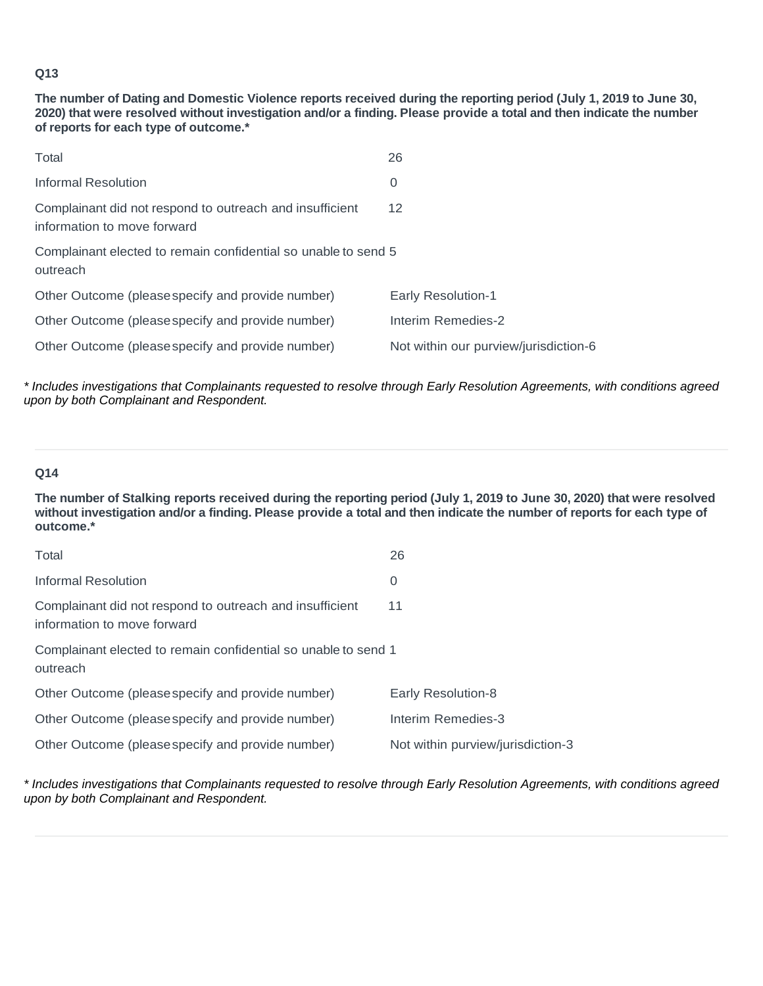**The number of Dating and Domestic Violence reports received during the reporting period (July 1, 2019 to June 30, 2020) that were resolved without investigation and/or a finding. Please provide a total and then indicate the number of reports for each type of outcome.\***

| Total                                                                                   | 26                                    |  |
|-----------------------------------------------------------------------------------------|---------------------------------------|--|
| Informal Resolution                                                                     | 0                                     |  |
| Complainant did not respond to outreach and insufficient<br>information to move forward | 12                                    |  |
| Complainant elected to remain confidential so unable to send 5<br>outreach              |                                       |  |
| Other Outcome (please specify and provide number)                                       | <b>Early Resolution-1</b>             |  |
| Other Outcome (please specify and provide number)                                       | Interim Remedies-2                    |  |
| Other Outcome (please specify and provide number)                                       | Not within our purview/jurisdiction-6 |  |

*\* Includes investigations that Complainants requested to resolve through Early Resolution Agreements, with conditions agreed upon by both Complainant and Respondent.* 

# **Q14**

**The number of Stalking reports received during the reporting period (July 1, 2019 to June 30, 2020) that were resolved without investigation and/or a finding. Please provide a total and then indicate the number of reports for each type of outcome.\***

| Total                                                                                   | 26                                |
|-----------------------------------------------------------------------------------------|-----------------------------------|
| Informal Resolution                                                                     | 0                                 |
| Complainant did not respond to outreach and insufficient<br>information to move forward | 11                                |
| Complainant elected to remain confidential so unable to send 1<br>outreach              |                                   |
| Other Outcome (please specify and provide number)                                       | <b>Early Resolution-8</b>         |
| Other Outcome (please specify and provide number)                                       | Interim Remedies-3                |
| Other Outcome (please specify and provide number)                                       | Not within purview/jurisdiction-3 |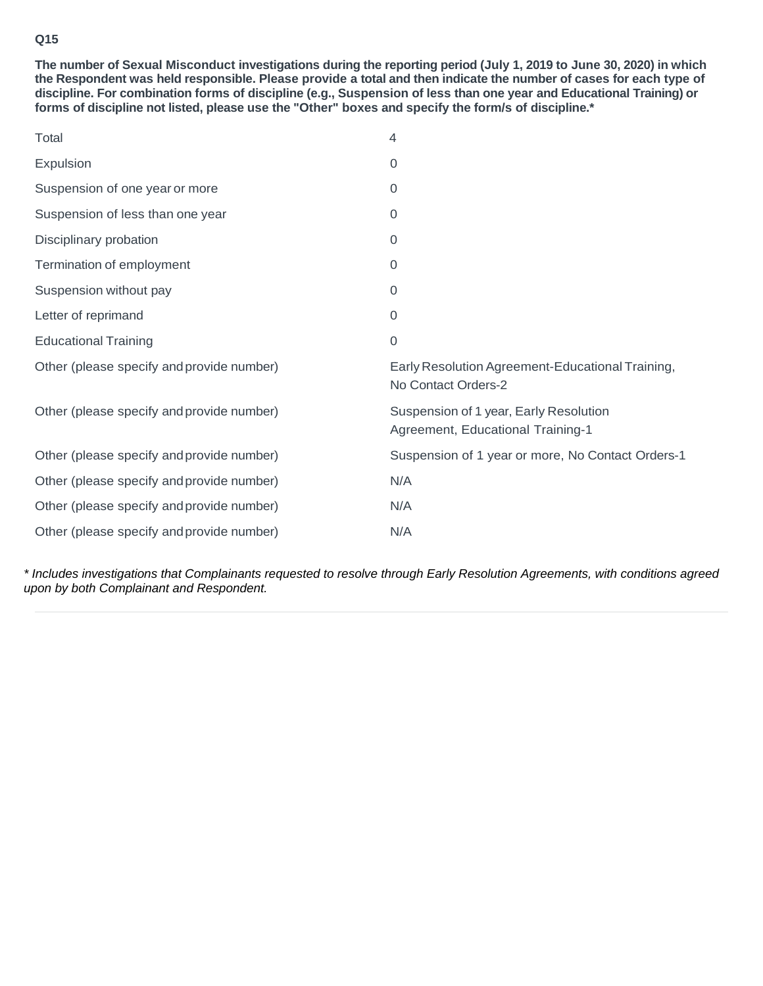**The number of Sexual Misconduct investigations during the reporting period (July 1, 2019 to June 30, 2020) in which the Respondent was held responsible. Please provide a total and then indicate the number of cases for each type of discipline. For combination forms of discipline (e.g., Suspension of less than one year and Educational Training) or forms of discipline not listed, please use the "Other" boxes and specify the form/s of discipline.\***

| Total                                     | 4                                                                           |
|-------------------------------------------|-----------------------------------------------------------------------------|
| Expulsion                                 | 0                                                                           |
| Suspension of one year or more            | 0                                                                           |
| Suspension of less than one year          | 0                                                                           |
| Disciplinary probation                    | $\overline{0}$                                                              |
| Termination of employment                 | $\overline{0}$                                                              |
| Suspension without pay                    | $\overline{0}$                                                              |
| Letter of reprimand                       | $\Omega$                                                                    |
| <b>Educational Training</b>               | 0                                                                           |
| Other (please specify and provide number) | Early Resolution Agreement-Educational Training,<br>No Contact Orders-2     |
| Other (please specify and provide number) | Suspension of 1 year, Early Resolution<br>Agreement, Educational Training-1 |
| Other (please specify and provide number) | Suspension of 1 year or more, No Contact Orders-1                           |
| Other (please specify and provide number) | N/A                                                                         |
| Other (please specify and provide number) | N/A                                                                         |
| Other (please specify and provide number) | N/A                                                                         |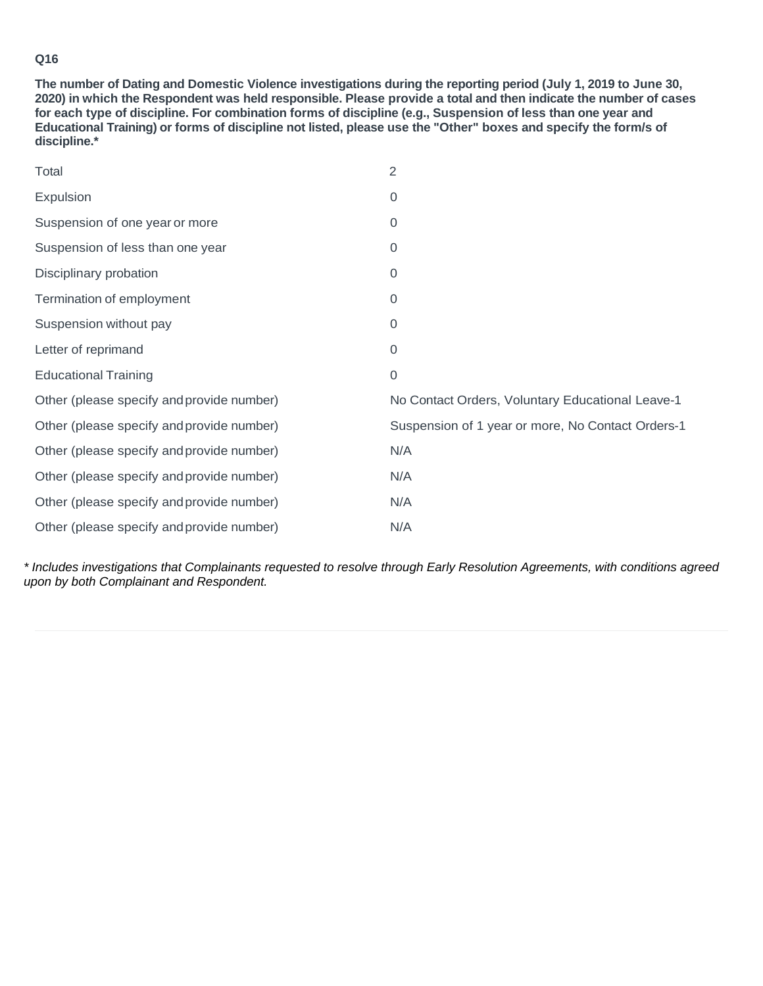**The number of Dating and Domestic Violence investigations during the reporting period (July 1, 2019 to June 30, 2020) in which the Respondent was held responsible. Please provide a total and then indicate the number of cases for each type of discipline. For combination forms of discipline (e.g., Suspension of less than one year and Educational Training) or forms of discipline not listed, please use the "Other" boxes and specify the form/s of discipline.\***

| Total                                     | $\overline{2}$                                    |
|-------------------------------------------|---------------------------------------------------|
| Expulsion                                 | 0                                                 |
| Suspension of one year or more            | $\overline{0}$                                    |
| Suspension of less than one year          | $\mathbf 0$                                       |
| Disciplinary probation                    | $\overline{0}$                                    |
| Termination of employment                 | $\overline{0}$                                    |
| Suspension without pay                    | $\Omega$                                          |
| Letter of reprimand                       | $\overline{0}$                                    |
| <b>Educational Training</b>               | $\mathbf 0$                                       |
| Other (please specify and provide number) | No Contact Orders, Voluntary Educational Leave-1  |
| Other (please specify and provide number) | Suspension of 1 year or more, No Contact Orders-1 |
| Other (please specify and provide number) | N/A                                               |
| Other (please specify and provide number) | N/A                                               |
| Other (please specify and provide number) | N/A                                               |
| Other (please specify and provide number) | N/A                                               |